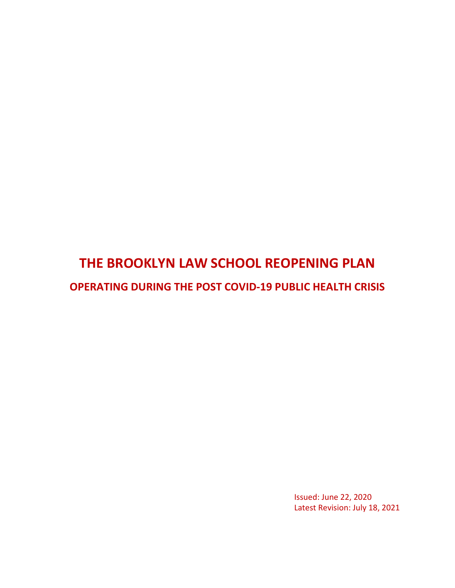# **THE BROOKLYN LAW SCHOOL REOPENING PLAN OPERATING DURING THE POST COVID-19 PUBLIC HEALTH CRISIS**

Issued: June 22, 2020 Latest Revision: July 18, 2021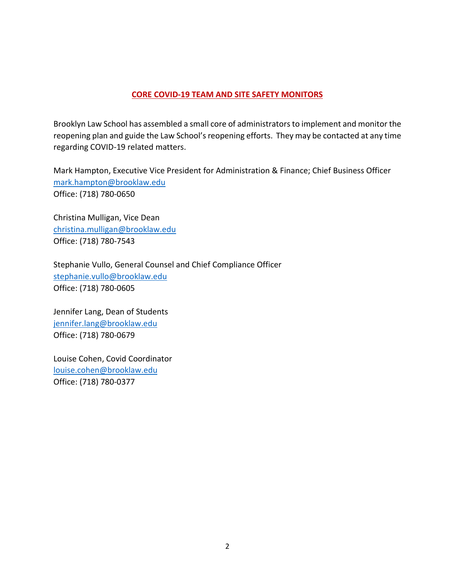## **CORE COVID-19 TEAM AND SITE SAFETY MONITORS**

Brooklyn Law School has assembled a small core of administrators to implement and monitor the reopening plan and guide the Law School's reopening efforts. They may be contacted at any time regarding COVID-19 related matters.

Mark Hampton, Executive Vice President for Administration & Finance; Chief Business Officer [mark.hampton@brooklaw.edu](mailto:mark.hampton@brooklaw.edu) Office: (718) 780-0650

Christina Mulligan, Vice Dean [christina.mulligan@brooklaw.edu](mailto:christina.mulligan@brooklaw.edu) Office: (718) 780-7543

Stephanie Vullo, General Counsel and Chief Compliance Officer [stephanie.vullo@brooklaw.edu](mailto:stephanie.vullo@brooklaw.edu) Office: (718) 780-0605

Jennifer Lang, Dean of Students [jennifer.lang@brooklaw.edu](mailto:jennifer.lang@brooklaw.edu) Office: (718) 780-0679

Louise Cohen, Covid Coordinator [louise.cohen@brooklaw.edu](mailto:louise.cohen@brooklaw.edu) Office: (718) 780-0377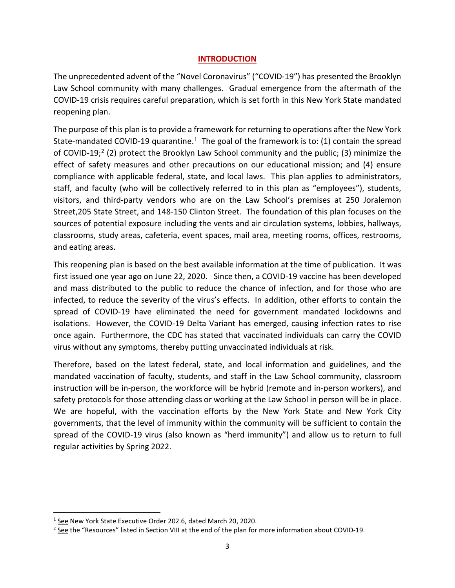## **INTRODUCTION**

The unprecedented advent of the "Novel Coronavirus" ("COVID-19") has presented the Brooklyn Law School community with many challenges. Gradual emergence from the aftermath of the COVID-19 crisis requires careful preparation, which is set forth in this New York State mandated reopening plan.

The purpose of this plan is to provide a framework for returning to operations after the New York State-mandated COVID-19 quarantine.<sup>1</sup> The goal of the framework is to: (1) contain the spread of COVID-19;<sup>[2](#page-2-1)</sup> (2) protect the Brooklyn Law School community and the public; (3) minimize the effect of safety measures and other precautions on our educational mission; and (4) ensure compliance with applicable federal, state, and local laws. This plan applies to administrators, staff, and faculty (who will be collectively referred to in this plan as "employees"), students, visitors, and third-party vendors who are on the Law School's premises at 250 Joralemon Street,205 State Street, and 148-150 Clinton Street. The foundation of this plan focuses on the sources of potential exposure including the vents and air circulation systems, lobbies, hallways, classrooms, study areas, cafeteria, event spaces, mail area, meeting rooms, offices, restrooms, and eating areas.

This reopening plan is based on the best available information at the time of publication. It was first issued one year ago on June 22, 2020. Since then, a COVID-19 vaccine has been developed and mass distributed to the public to reduce the chance of infection, and for those who are infected, to reduce the severity of the virus's effects. In addition, other efforts to contain the spread of COVID-19 have eliminated the need for government mandated lockdowns and isolations. However, the COVID-19 Delta Variant has emerged, causing infection rates to rise once again. Furthermore, the CDC has stated that vaccinated individuals can carry the COVID virus without any symptoms, thereby putting unvaccinated individuals at risk.

Therefore, based on the latest federal, state, and local information and guidelines, and the mandated vaccination of faculty, students, and staff in the Law School community, classroom instruction will be in-person, the workforce will be hybrid (remote and in-person workers), and safety protocols for those attending class or working at the Law School in person will be in place. We are hopeful, with the vaccination efforts by the New York State and New York City governments, that the level of immunity within the community will be sufficient to contain the spread of the COVID-19 virus (also known as "herd immunity") and allow us to return to full regular activities by Spring 2022.

<span id="page-2-0"></span><sup>1</sup> See New York State Executive Order 202.6, dated March 20, 2020.

<span id="page-2-1"></span><sup>&</sup>lt;sup>2</sup> See the "Resources" listed in Section VIII at the end of the plan for more information about COVID-19.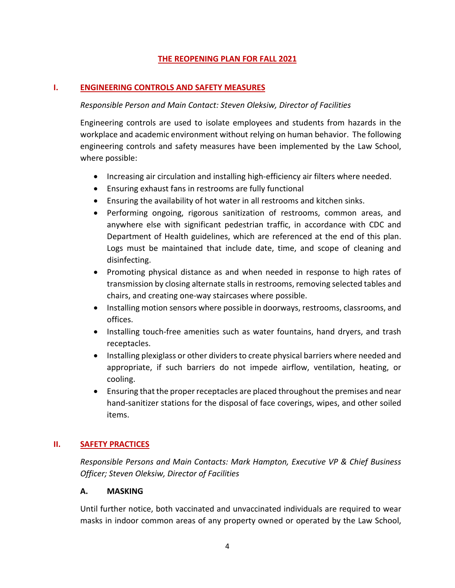## **THE REOPENING PLAN FOR FALL 2021**

## **I. ENGINEERING CONTROLS AND SAFETY MEASURES**

#### *Responsible Person and Main Contact: Steven Oleksiw, Director of Facilities*

Engineering controls are used to isolate employees and students from hazards in the workplace and academic environment without relying on human behavior. The following engineering controls and safety measures have been implemented by the Law School, where possible:

- Increasing air circulation and installing high-efficiency air filters where needed.
- Ensuring exhaust fans in restrooms are fully functional
- Ensuring the availability of hot water in all restrooms and kitchen sinks.
- Performing ongoing, rigorous sanitization of restrooms, common areas, and anywhere else with significant pedestrian traffic, in accordance with CDC and Department of Health guidelines, which are referenced at the end of this plan. Logs must be maintained that include date, time, and scope of cleaning and disinfecting.
- Promoting physical distance as and when needed in response to high rates of transmission by closing alternate stalls in restrooms, removing selected tables and chairs, and creating one-way staircases where possible.
- Installing motion sensors where possible in doorways, restrooms, classrooms, and offices.
- Installing touch-free amenities such as water fountains, hand dryers, and trash receptacles.
- Installing plexiglass or other dividers to create physical barriers where needed and appropriate, if such barriers do not impede airflow, ventilation, heating, or cooling.
- Ensuring that the proper receptacles are placed throughout the premises and near hand-sanitizer stations for the disposal of face coverings, wipes, and other soiled items.

# **II. SAFETY PRACTICES**

*Responsible Persons and Main Contacts: Mark Hampton, Executive VP & Chief Business Officer; Steven Oleksiw, Director of Facilities*

#### **A. MASKING**

Until further notice, both vaccinated and unvaccinated individuals are required to wear masks in indoor common areas of any property owned or operated by the Law School,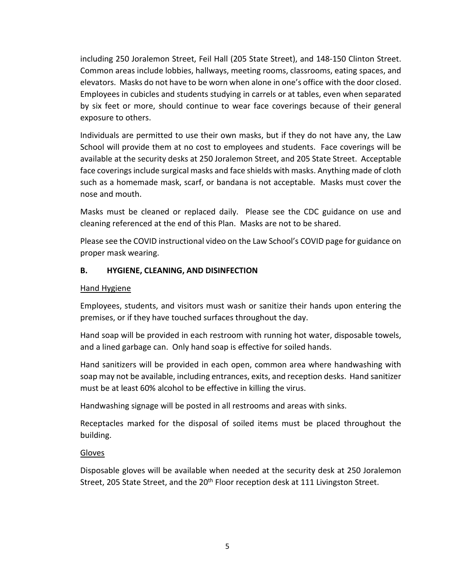including 250 Joralemon Street, Feil Hall (205 State Street), and 148-150 Clinton Street. Common areas include lobbies, hallways, meeting rooms, classrooms, eating spaces, and elevators. Masks do not have to be worn when alone in one's office with the door closed. Employees in cubicles and students studying in carrels or at tables, even when separated by six feet or more, should continue to wear face coverings because of their general exposure to others.

Individuals are permitted to use their own masks, but if they do not have any, the Law School will provide them at no cost to employees and students. Face coverings will be available at the security desks at 250 Joralemon Street, and 205 State Street. Acceptable face coverings include surgical masks and face shields with masks. Anything made of cloth such as a homemade mask, scarf, or bandana is not acceptable. Masks must cover the nose and mouth.

Masks must be cleaned or replaced daily. Please see the CDC guidance on use and cleaning referenced at the end of this Plan. Masks are not to be shared.

Please see the COVID instructional video on the Law School's COVID page for guidance on proper mask wearing.

## **B. HYGIENE, CLEANING, AND DISINFECTION**

#### Hand Hygiene

Employees, students, and visitors must wash or sanitize their hands upon entering the premises, or if they have touched surfaces throughout the day.

Hand soap will be provided in each restroom with running hot water, disposable towels, and a lined garbage can. Only hand soap is effective for soiled hands.

Hand sanitizers will be provided in each open, common area where handwashing with soap may not be available, including entrances, exits, and reception desks. Hand sanitizer must be at least 60% alcohol to be effective in killing the virus.

Handwashing signage will be posted in all restrooms and areas with sinks.

Receptacles marked for the disposal of soiled items must be placed throughout the building.

#### Gloves

Disposable gloves will be available when needed at the security desk at 250 Joralemon Street, 205 State Street, and the 20<sup>th</sup> Floor reception desk at 111 Livingston Street.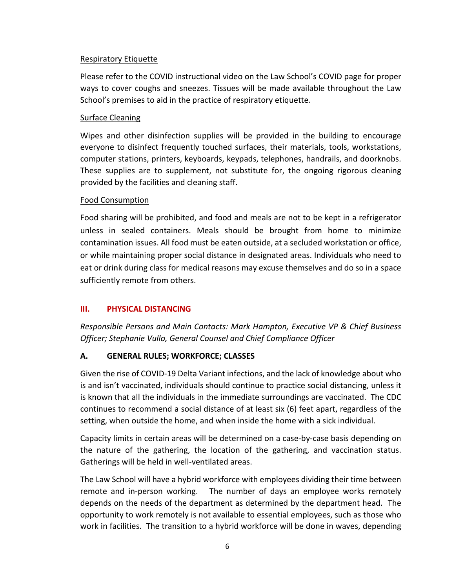## Respiratory Etiquette

Please refer to the COVID instructional video on the Law School's COVID page for proper ways to cover coughs and sneezes. Tissues will be made available throughout the Law School's premises to aid in the practice of respiratory etiquette.

## Surface Cleaning

Wipes and other disinfection supplies will be provided in the building to encourage everyone to disinfect frequently touched surfaces, their materials, tools, workstations, computer stations, printers, keyboards, keypads, telephones, handrails, and doorknobs. These supplies are to supplement, not substitute for, the ongoing rigorous cleaning provided by the facilities and cleaning staff.

## Food Consumption

Food sharing will be prohibited, and food and meals are not to be kept in a refrigerator unless in sealed containers. Meals should be brought from home to minimize contamination issues. All food must be eaten outside, at a secluded workstation or office, or while maintaining proper social distance in designated areas. Individuals who need to eat or drink during class for medical reasons may excuse themselves and do so in a space sufficiently remote from others.

# **III. PHYSICAL DISTANCING**

*Responsible Persons and Main Contacts: Mark Hampton, Executive VP & Chief Business Officer; Stephanie Vullo, General Counsel and Chief Compliance Officer*

# **A. GENERAL RULES; WORKFORCE; CLASSES**

Given the rise of COVID-19 Delta Variant infections, and the lack of knowledge about who is and isn't vaccinated, individuals should continue to practice social distancing, unless it is known that all the individuals in the immediate surroundings are vaccinated. The CDC continues to recommend a social distance of at least six (6) feet apart, regardless of the setting, when outside the home, and when inside the home with a sick individual.

Capacity limits in certain areas will be determined on a case-by-case basis depending on the nature of the gathering, the location of the gathering, and vaccination status. Gatherings will be held in well-ventilated areas.

The Law School will have a hybrid workforce with employees dividing their time between remote and in-person working. The number of days an employee works remotely depends on the needs of the department as determined by the department head. The opportunity to work remotely is not available to essential employees, such as those who work in facilities. The transition to a hybrid workforce will be done in waves, depending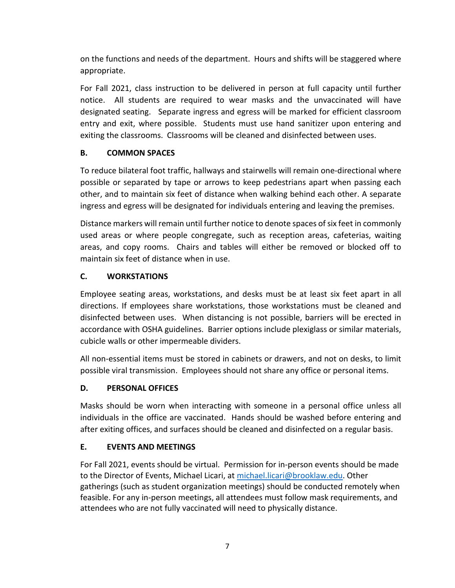on the functions and needs of the department. Hours and shifts will be staggered where appropriate.

For Fall 2021, class instruction to be delivered in person at full capacity until further notice. All students are required to wear masks and the unvaccinated will have designated seating. Separate ingress and egress will be marked for efficient classroom entry and exit, where possible. Students must use hand sanitizer upon entering and exiting the classrooms. Classrooms will be cleaned and disinfected between uses.

# **B. COMMON SPACES**

To reduce bilateral foot traffic, hallways and stairwells will remain one-directional where possible or separated by tape or arrows to keep pedestrians apart when passing each other, and to maintain six feet of distance when walking behind each other. A separate ingress and egress will be designated for individuals entering and leaving the premises.

Distance markers will remain until further notice to denote spaces of six feet in commonly used areas or where people congregate, such as reception areas, cafeterias, waiting areas, and copy rooms. Chairs and tables will either be removed or blocked off to maintain six feet of distance when in use.

# **C. WORKSTATIONS**

Employee seating areas, workstations, and desks must be at least six feet apart in all directions. If employees share workstations, those workstations must be cleaned and disinfected between uses. When distancing is not possible, barriers will be erected in accordance with OSHA guidelines. Barrier options include plexiglass or similar materials, cubicle walls or other impermeable dividers.

All non-essential items must be stored in cabinets or drawers, and not on desks, to limit possible viral transmission. Employees should not share any office or personal items.

# **D. PERSONAL OFFICES**

Masks should be worn when interacting with someone in a personal office unless all individuals in the office are vaccinated. Hands should be washed before entering and after exiting offices, and surfaces should be cleaned and disinfected on a regular basis.

# **E. EVENTS AND MEETINGS**

For Fall 2021, events should be virtual. Permission for in-person events should be made to the Director of Events, Michael Licari, a[t michael.licari@brooklaw.edu.](mailto:michael.licari@brooklaw.edu) Other gatherings (such as student organization meetings) should be conducted remotely when feasible. For any in-person meetings, all attendees must follow mask requirements, and attendees who are not fully vaccinated will need to physically distance.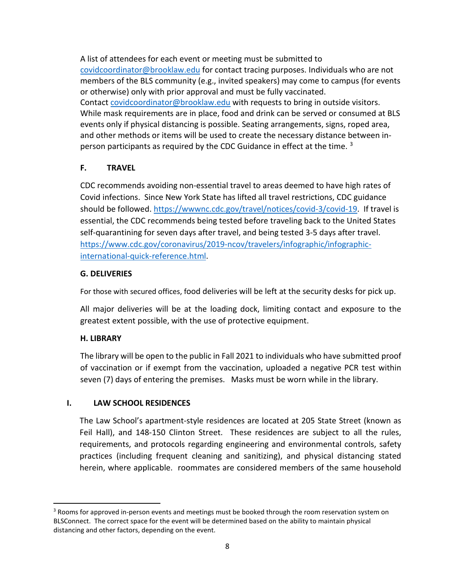A list of attendees for each event or meeting must be submitted to [covidcoordinator@brooklaw.edu](mailto:covidcoordinator@brooklaw.edu) for contact tracing purposes. Individuals who are not members of the BLS community (e.g., invited speakers) may come to campus (for events or otherwise) only with prior approval and must be fully vaccinated. Contact [covidcoordinator@brooklaw.edu](mailto:covidcoordinator@brooklaw.edu) with requests to bring in outside visitors. While mask requirements are in place, food and drink can be served or consumed at BLS events only if physical distancing is possible. Seating arrangements, signs, roped area, and other methods or items will be used to create the necessary distance between in-person participants as required by the CDC Guidance in effect at the time. <sup>[3](#page-7-0)</sup>

# **F. TRAVEL**

CDC recommends avoiding non-essential travel to areas deemed to have high rates of Covid infections. Since New York State has lifted all travel restrictions, CDC guidance should be followed. [https://wwwnc.cdc.gov/travel/notices/covid-3/covid-19.](https://wwwnc.cdc.gov/travel/notices/covid-3/covid-19-) If travel is essential, the CDC recommends being tested before traveling back to the United States self-quarantining for seven days after travel, and being tested 3-5 days after travel. [https://www.cdc.gov/coronavirus/2019-ncov/travelers/infographic/infographic](https://www.cdc.gov/coronavirus/2019-ncov/travelers/infographic/infographic-international-quick-reference.html)[international-quick-reference.html.](https://www.cdc.gov/coronavirus/2019-ncov/travelers/infographic/infographic-international-quick-reference.html)

# **G. DELIVERIES**

For those with secured offices, food deliveries will be left at the security desks for pick up.

All major deliveries will be at the loading dock, limiting contact and exposure to the greatest extent possible, with the use of protective equipment.

# **H. LIBRARY**

The library will be open to the public in Fall 2021 to individuals who have submitted proof of vaccination or if exempt from the vaccination, uploaded a negative PCR test within seven (7) days of entering the premises. Masks must be worn while in the library.

# **I. LAW SCHOOL RESIDENCES**

The Law School's apartment-style residences are located at 205 State Street (known as Feil Hall), and 148-150 Clinton Street. These residences are subject to all the rules, requirements, and protocols regarding engineering and environmental controls, safety practices (including frequent cleaning and sanitizing), and physical distancing stated herein, where applicable. roommates are considered members of the same household

<span id="page-7-0"></span><sup>&</sup>lt;sup>3</sup> Rooms for approved in-person events and meetings must be booked through the room reservation system on BLSConnect. The correct space for the event will be determined based on the ability to maintain physical distancing and other factors, depending on the event.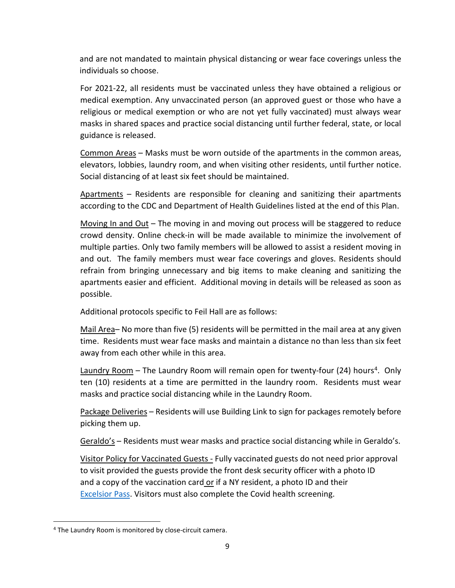and are not mandated to maintain physical distancing or wear face coverings unless the individuals so choose.

For 2021-22, all residents must be vaccinated unless they have obtained a religious or medical exemption. Any unvaccinated person (an approved guest or those who have a religious or medical exemption or who are not yet fully vaccinated) must always wear masks in shared spaces and practice social distancing until further federal, state, or local guidance is released.

Common Areas – Masks must be worn outside of the apartments in the common areas, elevators, lobbies, laundry room, and when visiting other residents, until further notice. Social distancing of at least six feet should be maintained.

Apartments – Residents are responsible for cleaning and sanitizing their apartments according to the CDC and Department of Health Guidelines listed at the end of this Plan.

Moving In and Out – The moving in and moving out process will be staggered to reduce crowd density. Online check-in will be made available to minimize the involvement of multiple parties. Only two family members will be allowed to assist a resident moving in and out. The family members must wear face coverings and gloves. Residents should refrain from bringing unnecessary and big items to make cleaning and sanitizing the apartments easier and efficient. Additional moving in details will be released as soon as possible.

Additional protocols specific to Feil Hall are as follows:

Mail Area– No more than five (5) residents will be permitted in the mail area at any given time. Residents must wear face masks and maintain a distance no than less than six feet away from each other while in this area.

Laundry Room – The Laundry Room will remain open for twenty-four (2[4](#page-8-0)) hours<sup>4</sup>. Only ten (10) residents at a time are permitted in the laundry room. Residents must wear masks and practice social distancing while in the Laundry Room.

Package Deliveries – Residents will use Building Link to sign for packages remotely before picking them up.

Geraldo's – Residents must wear masks and practice social distancing while in Geraldo's.

Visitor Policy for Vaccinated Guests - Fully vaccinated guests do not need prior approval to visit provided the guests provide the front desk security officer with a photo ID and a copy of the vaccination card or if a NY resident, a photo ID and their [Excelsior Pass.](file://facstaff/GC/COVID-19/Reopening%20after%20COVID/Reopening%20Plan/2021/Excelsior%20Pass) Visitors must also complete the Covid health screening.

<span id="page-8-0"></span><sup>4</sup> The Laundry Room is monitored by close-circuit camera.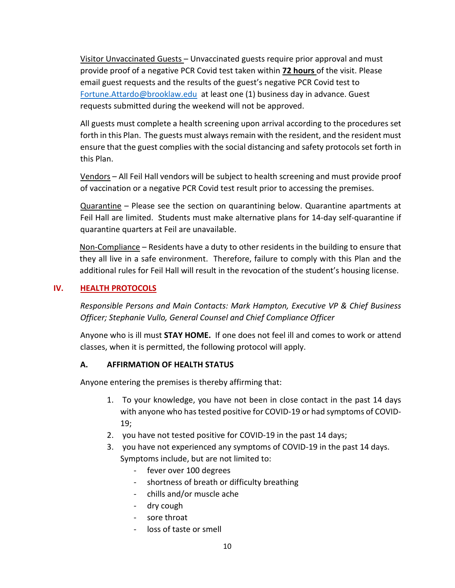Visitor Unvaccinated Guests – Unvaccinated guests require prior approval and must provide proof of a negative PCR Covid test taken within **72 hours** of the visit. Please email guest requests and the results of the guest's negative PCR Covid test to [Fortune.Attardo@brooklaw.edu](mailto:Fortune.Attardo@brooklaw.edu) at least one (1) business day in advance. Guest requests submitted during the weekend will not be approved.

All guests must complete a health screening upon arrival according to the procedures set forth in this Plan. The guests must always remain with the resident, and the resident must ensure that the guest complies with the social distancing and safety protocols set forth in this Plan.

Vendors – All Feil Hall vendors will be subject to health screening and must provide proof of vaccination or a negative PCR Covid test result prior to accessing the premises.

Quarantine – Please see the section on quarantining below. Quarantine apartments at Feil Hall are limited. Students must make alternative plans for 14-day self-quarantine if quarantine quarters at Feil are unavailable.

Non-Compliance – Residents have a duty to other residents in the building to ensure that they all live in a safe environment. Therefore, failure to comply with this Plan and the additional rules for Feil Hall will result in the revocation of the student's housing license.

## **IV. HEALTH PROTOCOLS**

*Responsible Persons and Main Contacts: Mark Hampton, Executive VP & Chief Business Officer; Stephanie Vullo, General Counsel and Chief Compliance Officer*

Anyone who is ill must **STAY HOME.** If one does not feel ill and comes to work or attend classes, when it is permitted, the following protocol will apply.

#### **A. AFFIRMATION OF HEALTH STATUS**

Anyone entering the premises is thereby affirming that:

- 1. To your knowledge, you have not been in close contact in the past 14 days with anyone who has tested positive for COVID-19 or had symptoms of COVID-19;
- 2. you have not tested positive for COVID-19 in the past 14 days;
- 3. you have not experienced any symptoms of COVID-19 in the past 14 days. Symptoms include, but are not limited to:
	- fever over 100 degrees
	- shortness of breath or difficulty breathing
	- chills and/or muscle ache
	- dry cough
	- sore throat
	- loss of taste or smell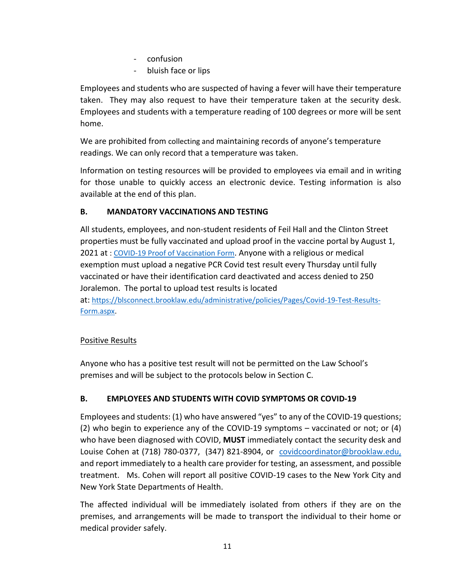- confusion
- bluish face or lips

Employees and students who are suspected of having a fever will have their temperature taken. They may also request to have their temperature taken at the security desk. Employees and students with a temperature reading of 100 degrees or more will be sent home.

We are prohibited from collecting and maintaining records of anyone's temperature readings. We can only record that a temperature was taken.

Information on testing resources will be provided to employees via email and in writing for those unable to quickly access an electronic device. Testing information is also available at the end of this plan.

# **B. MANDATORY VACCINATIONS AND TESTING**

All students, employees, and non-student residents of Feil Hall and the Clinton Street properties must be fully vaccinated and upload proof in the vaccine portal by August 1, 2021 at : [COVID-19 Proof of Vaccination Form.](https://blsconnect.brooklaw.edu/administrative/policies/Pages/Covid-19-Proof-of-Vaccination-Form.aspx) Anyone with a religious or medical exemption must upload a negative PCR Covid test result every Thursday until fully vaccinated or have their identification card deactivated and access denied to 250 Joralemon. The portal to upload test results is located at: [https://blsconnect.brooklaw.edu/administrative/policies/Pages/Covid-19-Test-Results-](https://blsconnect.brooklaw.edu/administrative/policies/Pages/Covid-19-Test-Results-Form.aspx)

[Form.aspx.](https://blsconnect.brooklaw.edu/administrative/policies/Pages/Covid-19-Test-Results-Form.aspx)

# Positive Results

Anyone who has a positive test result will not be permitted on the Law School's premises and will be subject to the protocols below in Section C.

# **B. EMPLOYEES AND STUDENTS WITH COVID SYMPTOMS OR COVID-19**

Employees and students: (1) who have answered "yes" to any of the COVID-19 questions; (2) who begin to experience any of the COVID-19 symptoms – vaccinated or not; or (4) who have been diagnosed with COVID, **MUST** immediately contact the security desk and Louise Cohen at (718) 780-0377, (347) 821-8904, or [covidcoordinator@brooklaw.edu,](mailto:covidcoordinator@brooklaw.edu) and report immediately to a health care provider for testing, an assessment, and possible treatment. Ms. Cohen will report all positive COVID-19 cases to the New York City and New York State Departments of Health.

The affected individual will be immediately isolated from others if they are on the premises, and arrangements will be made to transport the individual to their home or medical provider safely.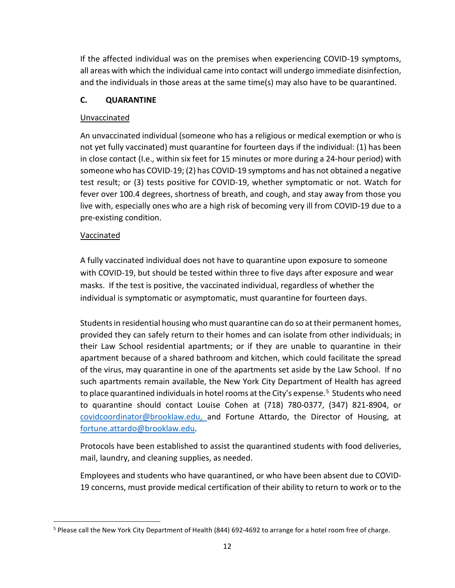If the affected individual was on the premises when experiencing COVID-19 symptoms, all areas with which the individual came into contact will undergo immediate disinfection, and the individuals in those areas at the same time(s) may also have to be quarantined.

# **C. QUARANTINE**

# Unvaccinated

An unvaccinated individual (someone who has a religious or medical exemption or who is not yet fully vaccinated) must quarantine for fourteen days if the individual: (1) has been in close contact (I.e., within six feet for 15 minutes or more during a 24-hour period) with someone who has COVID-19; (2) has COVID-19 symptoms and has not obtained a negative test result; or (3) tests positive for COVID-19, whether symptomatic or not. Watch for fever over 100.4 degrees, shortness of breath, and cough, and stay away from those you live with, especially ones who are a high risk of becoming very ill from COVID-19 due to a pre-existing condition.

# Vaccinated

A fully vaccinated individual does not have to quarantine upon exposure to someone with COVID-19, but should be tested within three to five days after exposure and wear masks. If the test is positive, the vaccinated individual, regardless of whether the individual is symptomatic or asymptomatic, must quarantine for fourteen days.

Students in residential housing who must quarantine can do so at their permanent homes, provided they can safely return to their homes and can isolate from other individuals; in their Law School residential apartments; or if they are unable to quarantine in their apartment because of a shared bathroom and kitchen, which could facilitate the spread of the virus, may quarantine in one of the apartments set aside by the Law School. If no such apartments remain available, the New York City Department of Health has agreed to place quarantined individuals in hotel rooms at the City's expense.<sup>[5](#page-11-0)</sup> Students who need to quarantine should contact Louise Cohen at (718) 780-0377, (347) 821-8904, or [covidcoordinator@brooklaw.edu,](mailto:covidcoordinator@brooklaw.edu) and Fortune Attardo, the Director of Housing, at [fortune.attardo@brooklaw.edu.](mailto:fortune.attardo@brooklaw.edu)

Protocols have been established to assist the quarantined students with food deliveries, mail, laundry, and cleaning supplies, as needed.

Employees and students who have quarantined, or who have been absent due to COVID-19 concerns, must provide medical certification of their ability to return to work or to the

<span id="page-11-0"></span><sup>5</sup> Please call the New York City Department of Health (844) 692-4692 to arrange for a hotel room free of charge.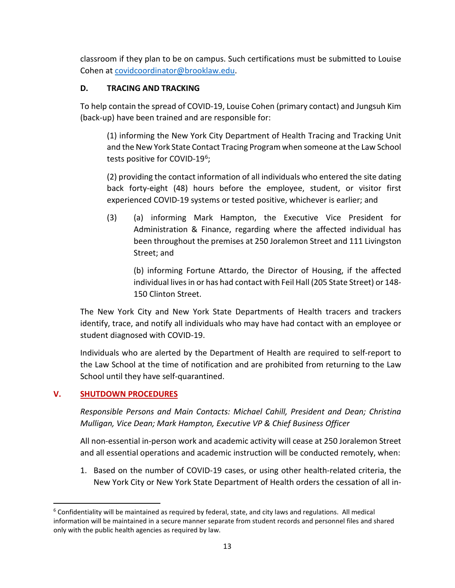classroom if they plan to be on campus. Such certifications must be submitted to Louise Cohen at [covidcoordinator@brooklaw.edu.](mailto:covidcoordinator@brooklaw.edu)

# **D. TRACING AND TRACKING**

To help contain the spread of COVID-19, Louise Cohen (primary contact) and Jungsuh Kim (back-up) have been trained and are responsible for:

(1) informing the New York City Department of Health Tracing and Tracking Unit and the New York State Contact Tracing Program when someone at the Law School tests positive for COVID-19<sup>6</sup>;

(2) providing the contact information of all individuals who entered the site dating back forty-eight (48) hours before the employee, student, or visitor first experienced COVID-19 systems or tested positive, whichever is earlier; and

(3) (a) informing Mark Hampton, the Executive Vice President for Administration & Finance, regarding where the affected individual has been throughout the premises at 250 Joralemon Street and 111 Livingston Street; and

(b) informing Fortune Attardo, the Director of Housing, if the affected individual lives in or has had contact with Feil Hall (205 State Street) or 148- 150 Clinton Street.

The New York City and New York State Departments of Health tracers and trackers identify, trace, and notify all individuals who may have had contact with an employee or student diagnosed with COVID-19.

Individuals who are alerted by the Department of Health are required to self-report to the Law School at the time of notification and are prohibited from returning to the Law School until they have self-quarantined.

# **V. SHUTDOWN PROCEDURES**

*Responsible Persons and Main Contacts: Michael Cahill, President and Dean; Christina Mulligan, Vice Dean; Mark Hampton, Executive VP & Chief Business Officer*

All non-essential in-person work and academic activity will cease at 250 Joralemon Street and all essential operations and academic instruction will be conducted remotely, when:

1. Based on the number of COVID-19 cases, or using other health-related criteria, the New York City or New York State Department of Health orders the cessation of all in-

<span id="page-12-0"></span> $6$  Confidentiality will be maintained as required by federal, state, and city laws and regulations. All medical information will be maintained in a secure manner separate from student records and personnel files and shared only with the public health agencies as required by law.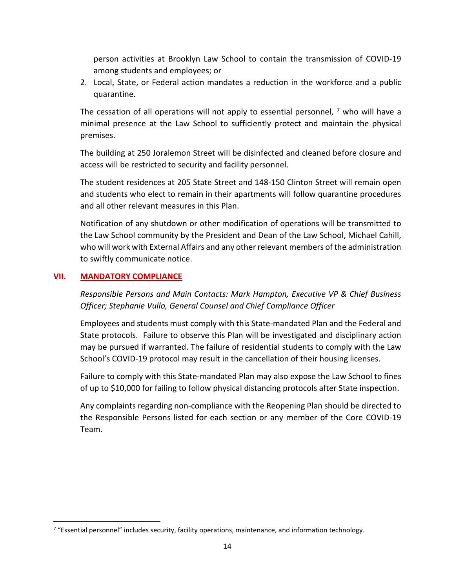person activities at Brooklyn Law School to contain the transmission of COVID-19 among students and employees; or

2. Local, State, or Federal action mandates a reduction in the workforce and a public quarantine.

The cessation of all operations will not apply to essential personnel,  $^7$  $^7$  who will have a minimal presence at the Law School to sufficiently protect and maintain the physical premises.

The building at 250 Joralemon Street will be disinfected and cleaned before closure and access will be restricted to security and facility personnel.

The student residences at 205 State Street and 148-150 Clinton Street will remain open and students who elect to remain in their apartments will follow quarantine procedures and all other relevant measures in this Plan.

Notification of any shutdown or other modification of operations will be transmitted to the Law School community by the President and Dean of the Law School, Michael Cahill, who will work with External Affairs and any other relevant members of the administration to swiftly communicate notice.

#### **VII. MANDATORY COMPLIANCE**

*Responsible Persons and Main Contacts: Mark Hampton, Executive VP & Chief Business Officer; Stephanie Vullo, General Counsel and Chief Compliance Officer*

Employees and students must comply with this State-mandated Plan and the Federal and State protocols. Failure to observe this Plan will be investigated and disciplinary action may be pursued if warranted. The failure of residential students to comply with the Law School's COVID-19 protocol may result in the cancellation of their housing licenses.

Failure to comply with this State-mandated Plan may also expose the Law School to fines of up to \$10,000 for failing to follow physical distancing protocols after State inspection.

Any complaints regarding non-compliance with the Reopening Plan should be directed to the Responsible Persons listed for each section or any member of the Core COVID-19 Team.

<span id="page-13-0"></span> $7$  "Essential personnel" includes security, facility operations, maintenance, and information technology.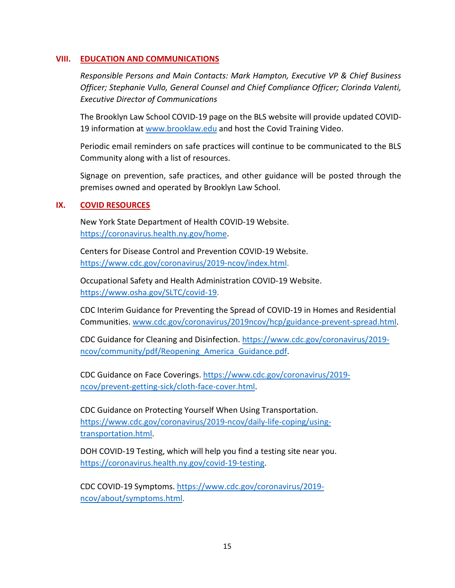## **VIII. EDUCATION AND COMMUNICATIONS**

*Responsible Persons and Main Contacts: Mark Hampton, Executive VP & Chief Business Officer; Stephanie Vullo, General Counsel and Chief Compliance Officer; Clorinda Valenti, Executive Director of Communications*

The Brooklyn Law School COVID-19 page on the BLS website will provide updated COVID19 information at [www.brooklaw.edu](http://www.brooklaw.edu/) and host the Covid Training Video.

Periodic email reminders on safe practices will continue to be communicated to the BLS Community along with a list of resources.

Signage on prevention, safe practices, and other guidance will be posted through the premises owned and operated by Brooklyn Law School.

#### **IX. COVID RESOURCES**

New York State Department of Health COVID-19 Website. [https://coronavirus.health.ny.gov/home.](https://coronavirus.health.ny.gov/home)

Centers for Disease Control and Prevention COVID-19 Website. [https://www.cdc.gov/coronavirus/2019-ncov/index.html.](https://www.cdc.gov/coronavirus/2019-ncov/index.html)

Occupational Safety and Health Administration COVID-19 Website. [https://www.osha.gov/SLTC/covid-19.](https://www.osha.gov/SLTC/covid-19)

CDC Interim Guidance for Preventing the Spread of COVID-19 in Homes and Residential Communities. [www.cdc.gov/coronavirus/2019ncov/hcp/guidance-prevent-spread.html.](http://www.cdc.gov/coronavirus/2019ncov/hcp/guidance-prevent-spread.html)

CDC Guidance for Cleaning and Disinfection. [https://www.cdc.gov/coronavirus/2019](https://www.cdc.gov/coronavirus/2019-ncov/community/pdf/Reopening_America_Guidance.pdf) [ncov/community/pdf/Reopening\\_America\\_Guidance.pdf.](https://www.cdc.gov/coronavirus/2019-ncov/community/pdf/Reopening_America_Guidance.pdf)

CDC Guidance on Face Coverings. [https://www.cdc.gov/coronavirus/2019](https://www.cdc.gov/coronavirus/2019-ncov/prevent-getting-sick/cloth-face-cover.html) [ncov/prevent-getting-sick/cloth-face-cover.html.](https://www.cdc.gov/coronavirus/2019-ncov/prevent-getting-sick/cloth-face-cover.html)

CDC Guidance on Protecting Yourself When Using Transportation. [https://www.cdc.gov/coronavirus/2019-ncov/daily-life-coping/using](https://www.cdc.gov/coronavirus/2019-ncov/daily-life-coping/using-transportation.html)[transportation.html.](https://www.cdc.gov/coronavirus/2019-ncov/daily-life-coping/using-transportation.html)

DOH COVID-19 Testing, which will help you find a testing site near you. [https://coronavirus.health.ny.gov/covid-19-testing.](https://coronavirus.health.ny.gov/covid-19-testing)

CDC COVID-19 Symptoms. [https://www.cdc.gov/coronavirus/2019](https://www.cdc.gov/coronavirus/2019-ncov/about/symptoms.html) [ncov/about/symptoms.html.](https://www.cdc.gov/coronavirus/2019-ncov/about/symptoms.html)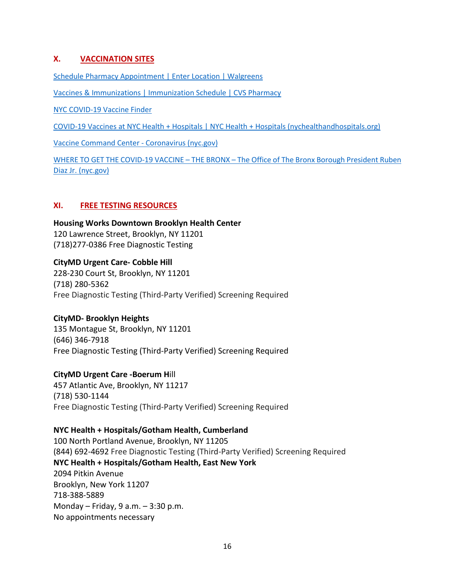## **X. VACCINATION SITES**

[Schedule Pharmacy Appointment | Enter Location | Walgreens](https://www.walgreens.com/pharmacy/schedule-appointment.jsp?ext=msnFY21_Routine+Immunization_NB_BMMRoutine+Immunization_NB_General_BMM_%2Bvaccination&gclid=5f3f758c990b1513dc9c14a0a8783df9&gclsrc=3p.ds&&gclid=5f3f758c990b1513dc9c14a0a8783df9#/location)

[Vaccines & Immunizations | Immunization Schedule | CVS Pharmacy](https://www.cvs.com/immunizations/get-vaccinated?cid=ps_imm&gclid=8bcad8f38c101c683897b9dfbd637784&gclsrc=3p.ds&msclkid=8bcad8f38c101c683897b9dfbd637784)

[NYC COVID-19 Vaccine Finder](https://vaccinefinder.nyc.gov/)

[COVID-19 Vaccines at NYC Health + Hospitals | NYC Health + Hospitals \(nychealthandhospitals.org\)](https://www.nychealthandhospitals.org/covid-19-vaccines/)

[Vaccine Command Center -](https://www1.nyc.gov/site/coronavirus/vaccines/covid-19-vaccines.page#walk-up-sites) Coronavirus (nyc.gov)

[WHERE TO GET THE COVID-19 VACCINE –](https://bronxboropres.nyc.gov/health-human-services/coronavirus/covidvaccine/) THE BRONX – The Office of The Bronx Borough President Ruben [Diaz Jr. \(nyc.gov\)](https://bronxboropres.nyc.gov/health-human-services/coronavirus/covidvaccine/)

#### **XI. FREE TESTING RESOURCES**

**[Housing Works Downtown Brooklyn Health Center](https://healthcare.housingworks.org/services/primary-care)** [120 Lawrence Street, Brooklyn, NY 11201](https://maps.google.com/?q=120%20Lawrence%20Street,%20Brooklyn,%20NY%2011201) [\(718\)277-0386](tel:7182770386) Free Diagnostic Testing

**[CityMD Urgent Care-](https://www.citymd.com/) Cobble Hill** [228-230 Court St, Brooklyn, NY 11201](https://maps.google.com/?q=228-230%20Court%20St,%20Brooklyn,%20NY%2011201) [\(718\) 280-5362](tel:(718)%20280-5362) Free Diagnostic Testing (Third-Party Verified) Screening Required

#### **CityMD- [Brooklyn Heights](https://www.citymd.com/)**

[135 Montague St, Brooklyn, NY 11201](https://maps.google.com/?q=135%20Montague%20St,%20Brooklyn,%20NY%2011201) [\(646\) 346-7918](tel:(646)%20346-7918) Free Diagnostic Testing (Third-Party Verified) Screening Required

#### **[CityMD Urgent Care -Boerum H](https://www.citymd.com/urgent-care-locations/ny/brooklyn/boerum-hill/009)**ill

[457 Atlantic Ave, Brooklyn, NY 11217](https://maps.google.com/?q=457%20Atlantic%20Ave,%20Brooklyn,%20NY%2011217) [\(718\) 530-1144](tel:(718)%20530-1144) Free Diagnostic Testing (Third-Party Verified) Screening Required

#### **[NYC Health + Hospitals/Gotham Health, Cumberland](https://www.nychealthandhospitals.org/covid-19-testing-sites/?redirect¬ification)**

[100 North Portland Avenue, Brooklyn, NY 11205](https://maps.google.com/?q=100%20North%20Portland%20Avenue,%20Brooklyn,%20NY%2011205) [\(844\) 692-4692](tel:(844)%20692-4692) Free Diagnostic Testing (Third-Party Verified) Screening Required **NYC Health + [Hospitals/Gotham](https://www.nychealthandhospitals.org/eastnewyork) Health, East New York** 2094 Pitkin Avenue Brooklyn, New York 11207 718-388-5889 Monday – Friday, 9 a.m. – 3:30 p.m. No appointments necessary